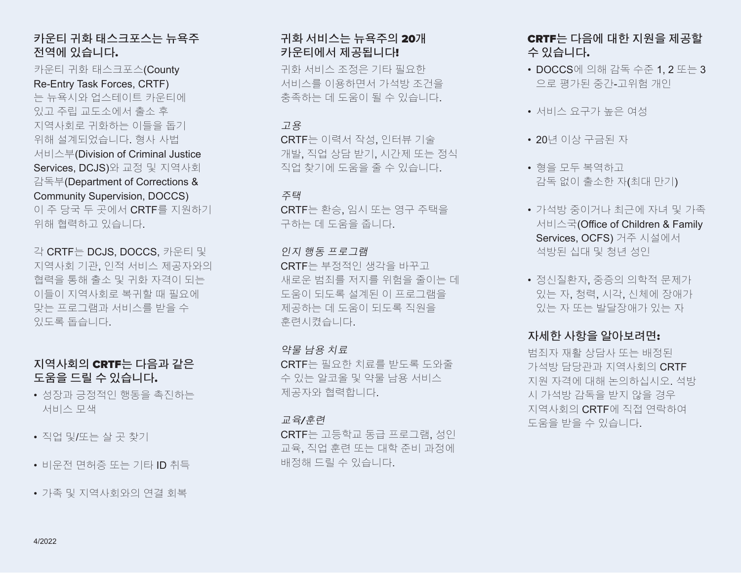# 카운티 귀화 태스크포스는 뉴욕주 전역에 있습니다.

카운티 귀화 태스크포스(County Re-Entry Task Forces, CRTF) 는 뉴욕시와 업스테이트 카운티에 있고 주립 교도소에서 출소 후 지역사회로 귀화하는 이들을 돕기 위해 설계되었습니다. 형사 사법 서비스부(Division of Criminal Justice Services, DCJS)와 교정 및 지역사회 감독부(Department of Corrections & Community Supervision, DOCCS) 이 주 당국 두 곳에서 CRTF를 지원하기 위해 협력하고 있습니다.

각 CRTF는 DCJS, DOCCS, 카운티 및 지역사회 기관, 인적 서비스 제공자와의 협력을 통해 출소 및 귀화 자격이 되는 이들이 지역사회로 복귀할 때 필요에 맞는 프로그램과 서비스를 받을 수 있도록 돕습니다.

# 지역사회의 CRTF는 다음과 같은 도움을 드릴 수 있습니다.

- 성장과 긍정적인 행동을 촉진하는 서비스 모색
- 직업 및/또는 살 곳 찾기
- 비운전 면허증 또는 기타 ID 취득
- 가족 및 지역사회와의 연결 회복

# 귀화 서비스는 뉴욕주의 20개 카운티에서 제공됩니다!

귀화 서비스 조정은 기타 필요한 서비스를 이용하면서 가석방 조건을 충족하는 데 도움이 될 수 있습니다.

# 고용

CRTF는 이력서 작성, 인터뷰 기술 개발, 직업 상담 받기, 시간제 또는 정식 직업 찾기에 도움을 줄 수 있습니다.

# 주택

CRTF는 환승, 임시 또는 영구 주택을 구하는 데 도움을 줍니다.

# 인지 행동 프로그램

CRTF는 부정적인 생각을 바꾸고 새로운 범죄를 저지를 위험을 줄이는 데 도움이 되도록 설계된 이 프로그램을 제공하는 데 도움이 되도록 직원을 훈련시켰습니다.

# 약물 남용 치료

CRTF는 필요한 치료를 받도록 도와줄 수 있는 알코올 및 약물 남용 서비스 제공자와 협력합니다.

# 교육/훈련

CRTF는 고등학교 동급 프로그램, 성인 교육, 직업 훈련 또는 대학 준비 과정에 배정해 드릴 수 있습니다.

# CRTF는 다음에 대한 지원을 제공할 수 있습니다.

- DOCCS에 의해 감독 수준 1, 2 또는 3 으로 평가된 중간-고위험 개인
- 서비스 요구가 높은 여성
- 20년 이상 구금된 자
- 형을 모두 복역하고 감독 없이 출소한 자(최대 만기)
- 가석방 중이거나 최근에 자녀 및 가족 서비스국(Office of Children & Family Services, OCFS) 거주 시설에서 석방된 십대 및 청년 성인
- 정신질환자, 중증의 의학적 문제가 있는 자, 청력, 시각, 신체에 장애가 있는 자 또는 발달장애가 있는 자

# 자세한 사항을 알아보려면:

범죄자 재활 상담사 또는 배정된 가석방 담당관과 지역사회의 CRTF 지원 자격에 대해 논의하십시오. 석방 시 가석방 감독을 받지 않을 경우 지역사회의 CRTF에 직접 연락하여 도움을 받을 수 있습니다.